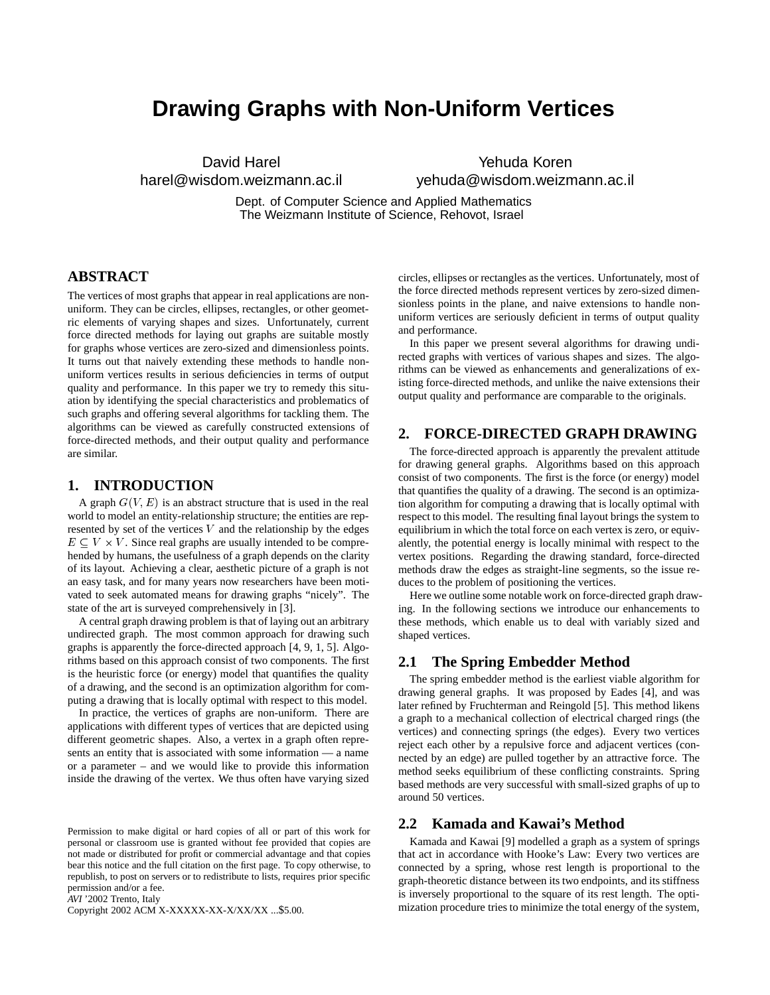# **Drawing Graphs with Non-Uniform Vertices**

David Harel harel@wisdom.weizmann.ac.il

Yehuda Koren yehuda@wisdom.weizmann.ac.il

Dept. of Computer Science and Applied Mathematics The Weizmann Institute of Science, Rehovot, Israel

# **ABSTRACT**

The vertices of most graphs that appear in real applications are nonuniform. They can be circles, ellipses, rectangles, or other geometric elements of varying shapes and sizes. Unfortunately, current force directed methods for laying out graphs are suitable mostly for graphs whose vertices are zero-sized and dimensionless points. It turns out that naively extending these methods to handle nonuniform vertices results in serious deficiencies in terms of output quality and performance. In this paper we try to remedy this situation by identifying the special characteristics and problematics of such graphs and offering several algorithms for tackling them. The algorithms can be viewed as carefully constructed extensions of force-directed methods, and their output quality and performance are similar.

# **1. INTRODUCTION**

A graph  $G(V, E)$  is an abstract structure that is used in the real world to model an entity-relationship structure; the entities are represented by set of the vertices  $V$  and the relationship by the edges  $E \subseteq V \times V$ . Since real graphs are usually intended to be comprehended by humans, the usefulness of a graph depends on the clarity of its layout. Achieving a clear, aesthetic picture of a graph is not an easy task, and for many years now researchers have been motivated to seek automated means for drawing graphs "nicely". The state of the art is surveyed comprehensively in [3].

A central graph drawing problem is that of laying out an arbitrary undirected graph. The most common approach for drawing such graphs is apparently the force-directed approach [4, 9, 1, 5]. Algorithms based on this approach consist of two components. The first is the heuristic force (or energy) model that quantifies the quality of a drawing, and the second is an optimization algorithm for computing a drawing that is locally optimal with respect to this model.

In practice, the vertices of graphs are non-uniform. There are applications with different types of vertices that are depicted using different geometric shapes. Also, a vertex in a graph often represents an entity that is associated with some information — a name or a parameter – and we would like to provide this information inside the drawing of the vertex. We thus often have varying sized

*AVI* '2002 Trento, Italy

Copyright 2002 ACM X-XXXXX-XX-X/XX/XX ...\$5.00.

circles, ellipses or rectangles as the vertices. Unfortunately, most of the force directed methods represent vertices by zero-sized dimensionless points in the plane, and naive extensions to handle nonuniform vertices are seriously deficient in terms of output quality and performance.

In this paper we present several algorithms for drawing undirected graphs with vertices of various shapes and sizes. The algorithms can be viewed as enhancements and generalizations of existing force-directed methods, and unlike the naive extensions their output quality and performance are comparable to the originals.

# **2. FORCE-DIRECTED GRAPH DRAWING**

The force-directed approach is apparently the prevalent attitude for drawing general graphs. Algorithms based on this approach consist of two components. The first is the force (or energy) model that quantifies the quality of a drawing. The second is an optimization algorithm for computing a drawing that is locally optimal with respect to this model. The resulting final layout brings the system to equilibrium in which the total force on each vertex is zero, or equivalently, the potential energy is locally minimal with respect to the vertex positions. Regarding the drawing standard, force-directed methods draw the edges as straight-line segments, so the issue reduces to the problem of positioning the vertices.

Here we outline some notable work on force-directed graph drawing. In the following sections we introduce our enhancements to these methods, which enable us to deal with variably sized and shaped vertices.

# **2.1 The Spring Embedder Method**

The spring embedder method is the earliest viable algorithm for drawing general graphs. It was proposed by Eades [4], and was later refined by Fruchterman and Reingold [5]. This method likens a graph to a mechanical collection of electrical charged rings (the vertices) and connecting springs (the edges). Every two vertices reject each other by a repulsive force and adjacent vertices (connected by an edge) are pulled together by an attractive force. The method seeks equilibrium of these conflicting constraints. Spring based methods are very successful with small-sized graphs of up to around 50 vertices.

# **2.2 Kamada and Kawai's Method**

Kamada and Kawai [9] modelled a graph as a system of springs that act in accordance with Hooke's Law: Every two vertices are connected by a spring, whose rest length is proportional to the graph-theoretic distance between its two endpoints, and its stiffness is inversely proportional to the square of its rest length. The optimization procedure tries to minimize the total energy of the system,

Permission to make digital or hard copies of all or part of this work for personal or classroom use is granted without fee provided that copies are not made or distributed for profit or commercial advantage and that copies bear this notice and the full citation on the first page. To copy otherwise, to republish, to post on servers or to redistribute to lists, requires prior specific permission and/or a fee.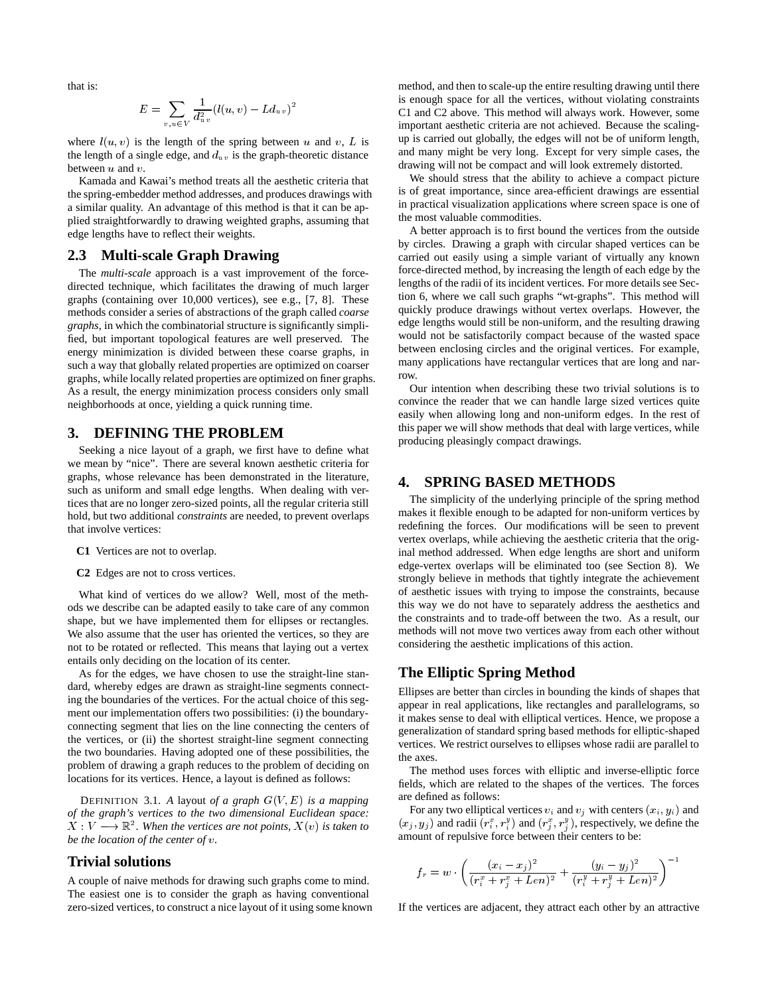that is:

$$
E = \sum_{v, u \in V} \frac{1}{d_{uv}^2} (l(u, v) - L d_{uv})^2
$$

where  $l(u, v)$  is the length of the spring between u and v, L is  $\qquad \text{up }$ the length of a single edge, and  $d_{uv}$  is the graph-theoretic distance between  $u$  and  $v$ .

Kamada and Kawai's method treats all the aesthetic criteria that the spring-embedder method addresses, and produces drawings with a similar quality. An advantage of this method is that it can be applied straightforwardly to drawing weighted graphs, assuming that edge lengths have to reflect their weights.

# **2.3 Multi-scale Graph Drawing**

The *multi-scale* approach is a vast improvement of the forcedirected technique, which facilitates the drawing of much larger graphs (containing over 10,000 vertices), see e.g., [7, 8]. These methods consider a series of abstractions of the graph called *coarse graphs*, in which the combinatorial structure is significantly simplified, but important topological features are well preserved. The energy minimization is divided between these coarse graphs, in such a way that globally related properties are optimized on coarser graphs, while locally related properties are optimized on finer graphs. As a result, the energy minimization process considers only small neighborhoods at once, yielding a quick running time.

# **3. DEFINING THE PROBLEM**

Seeking a nice layout of a graph, we first have to define what we mean by "nice". There are several known aesthetic criteria for graphs, whose relevance has been demonstrated in the literature, such as uniform and small edge lengths. When dealing with vertices that are no longer zero-sized points, all the regular criteria still hold, but two additional *constraints* are needed, to prevent overlaps that involve vertices:

- **C1** Vertices are not to overlap.
- **C2** Edges are not to cross vertices.

What kind of vertices do we allow? Well, most of the methods we describe can be adapted easily to take care of any common shape, but we have implemented them for ellipses or rectangles. We also assume that the user has oriented the vertices, so they are not to be rotated or reflected. This means that laying out a vertex entails only deciding on the location of its center.

As for the edges, we have chosen to use the straight-line standard, whereby edges are drawn as straight-line segments connecting the boundaries of the vertices. For the actual choice of this segment our implementation offers two possibilities: (i) the boundaryconnecting segment that lies on the line connecting the centers of the vertices, or (ii) the shortest straight-line segment connecting the two boundaries. Having adopted one of these possibilities, the problem of drawing a graph reduces to the problem of deciding on locations for its vertices. Hence, a layout is defined as follows:

DEFINITION 3.1. A layout of a graph  $G(V, E)$  is a mapping *of the graph's vertices to the two dimensional Euclidean space:*  $X: V \longrightarrow \mathbb{R}^2$ . When the vertices are not points,  $X(v)$  is taken to *be the location of the center of .*

# **Trivial solutions**

A couple of naive methods for drawing such graphs come to mind. The easiest one is to consider the graph as having conventional zero-sized vertices, to construct a nice layout of it using some known method, and then to scale-up the entire resulting drawing until there is enough space for all the vertices, without violating constraints C1 and C2 above. This method will always work. However, some important aesthetic criteria are not achieved. Because the scalingup is carried out globally, the edges will not be of uniform length, and many might be very long. Except for very simple cases, the drawing will not be compact and will look extremely distorted.

We should stress that the ability to achieve a compact picture is of great importance, since area-efficient drawings are essential in practical visualization applications where screen space is one of the most valuable commodities.

A better approach is to first bound the vertices from the outside by circles. Drawing a graph with circular shaped vertices can be carried out easily using a simple variant of virtually any known force-directed method, by increasing the length of each edge by the lengths of the radii of its incident vertices. For more details see Section 6, where we call such graphs "wt-graphs". This method will quickly produce drawings without vertex overlaps. However, the edge lengths would still be non-uniform, and the resulting drawing would not be satisfactorily compact because of the wasted space between enclosing circles and the original vertices. For example, many applications have rectangular vertices that are long and narrow.

Our intention when describing these two trivial solutions is to convince the reader that we can handle large sized vertices quite easily when allowing long and non-uniform edges. In the rest of this paper we will show methods that deal with large vertices, while producing pleasingly compact drawings.

## **4. SPRING BASED METHODS**

The simplicity of the underlying principle of the spring method makes it flexible enough to be adapted for non-uniform vertices by redefining the forces. Our modifications will be seen to prevent vertex overlaps, while achieving the aesthetic criteria that the original method addressed. When edge lengths are short and uniform edge-vertex overlaps will be eliminated too (see Section 8). We strongly believe in methods that tightly integrate the achievement of aesthetic issues with trying to impose the constraints, because this way we do not have to separately address the aesthetics and the constraints and to trade-off between the two. As a result, our methods will not move two vertices away from each other without considering the aesthetic implications of this action.

# **The Elliptic Spring Method**

Ellipses are better than circles in bounding the kinds of shapes that appear in real applications, like rectangles and parallelograms, so it makes sense to deal with elliptical vertices. Hence, we propose a generalization of standard spring based methods for elliptic-shaped vertices. We restrict ourselves to ellipses whose radii are parallel to the axes.

The method uses forces with elliptic and inverse-elliptic force fields, which are related to the shapes of the vertices. The forces are defined as follows:

For any two elliptical vertices  $v_i$  and  $v_j$  with centers  $(x_i, y_i)$  and  $(x_j, y_j)$  and radii  $(r_i^x, r_i^y)$  and  $(r_i^x, r_i^y)$ , respectively, we define the amount of repulsive force between their centers to be:

$$
f_r = w \cdot \left( \frac{(x_i - x_j)^2}{(r_i^x + r_j^x + Len)^2} + \frac{(y_i - y_j)^2}{(r_i^y + r_j^y + Len)^2} \right)^{-1}
$$

If the vertices are adjacent, they attract each other by an attractive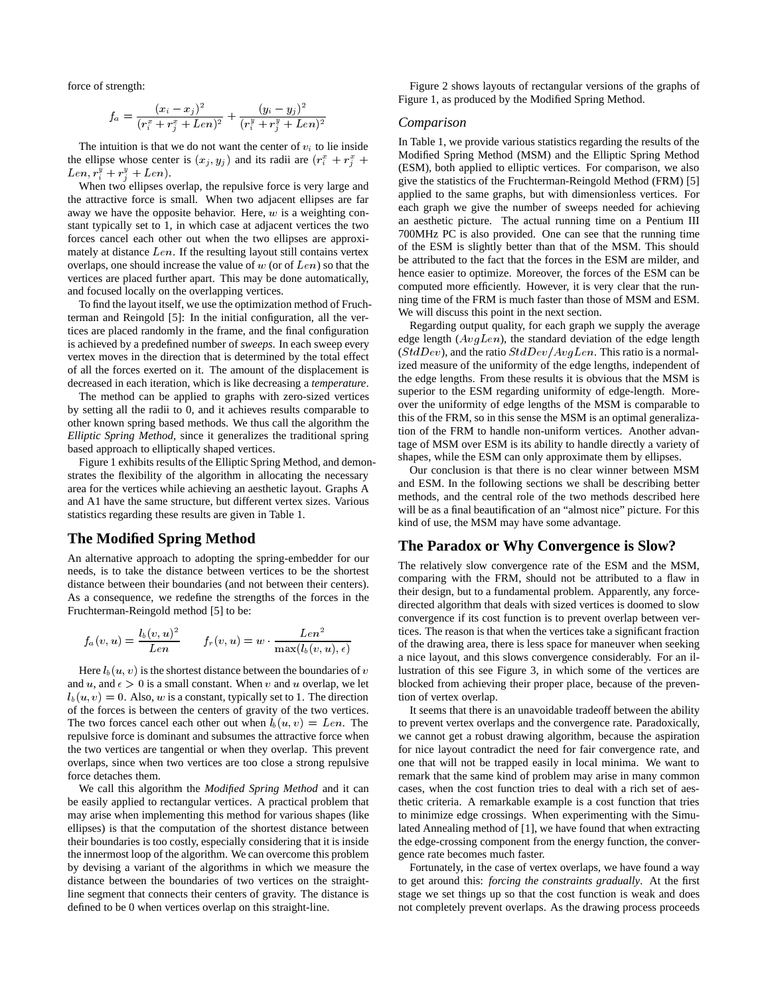force of strength:

$$
f_a = \frac{(x_i - x_j)^2}{(r_i^x + r_j^x + Len)^2} + \frac{(y_i - y_j)^2}{(r_i^y + r_j^y + Len)^2}
$$

The intuition is that we do not want the center of  $v_i$  to lie inside the ellipse whose center is  $(x_i, y_i)$  and its radii are  $(r_i^x + r_i^x + \cdots)$  $Len, r_i^y + r_i^y + Len).$ 

When two ellipses overlap, the repulsive force is very large and the attractive force is small. When two adjacent ellipses are far away we have the opposite behavior. Here,  $w$  is a weighting constant typically set to 1, in which case at adjacent vertices the two forces cancel each other out when the two ellipses are approximately at distance  $Len.$  If the resulting layout still contains vertex overlaps, one should increase the value of  $w$  (or of  $Len$ ) so that the vertices are placed further apart. This may be done automatically, and focused locally on the overlapping vertices.

To find the layout itself, we use the optimization method of Fruchterman and Reingold [5]: In the initial configuration, all the vertices are placed randomly in the frame, and the final configuration is achieved by a predefined number of *sweeps*. In each sweep every vertex moves in the direction that is determined by the total effect of all the forces exerted on it. The amount of the displacement is decreased in each iteration, which is like decreasing a *temperature*.

The method can be applied to graphs with zero-sized vertices by setting all the radii to 0, and it achieves results comparable to other known spring based methods. We thus call the algorithm the *Elliptic Spring Method*, since it generalizes the traditional spring based approach to elliptically shaped vertices.

Figure 1 exhibits results of the Elliptic Spring Method, and demonstrates the flexibility of the algorithm in allocating the necessary area for the vertices while achieving an aesthetic layout. Graphs A and A1 have the same structure, but different vertex sizes. Various statistics regarding these results are given in Table 1.

# **The Modified Spring Method**

An alternative approach to adopting the spring-embedder for our needs, is to take the distance between vertices to be the shortest distance between their boundaries (and not between their centers). As a consequence, we redefine the strengths of the forces in the Fruchterman-Reingold method [5] to be:

$$
f_a(v, u) = \frac{l_b(v, u)^2}{Len} \qquad f_r(v, u) = w \cdot \frac{Len^2}{\max(l_b(v, u), \epsilon)}
$$

Here  $l_b(u, v)$  is the shortest distance between the boundaries of  $v$  lust and  $u$ , and  $\epsilon > 0$  is a small constant. When  $v$  and  $u$  overlap, we let  $l_b(u, v) = 0$ . Also, w is a constant, typically set to 1. The direction of the forces is between the centers of gravity of the two vertices. The two forces cancel each other out when  $l_b(u, v) = Len$ . The repulsive force is dominant and subsumes the attractive force when the two vertices are tangential or when they overlap. This prevent overlaps, since when two vertices are too close a strong repulsive force detaches them.

We call this algorithm the *Modified Spring Method* and it can be easily applied to rectangular vertices. A practical problem that may arise when implementing this method for various shapes (like ellipses) is that the computation of the shortest distance between their boundaries is too costly, especially considering that it is inside the innermost loop of the algorithm. We can overcome this problem by devising a variant of the algorithms in which we measure the distance between the boundaries of two vertices on the straightline segment that connects their centers of gravity. The distance is defined to be 0 when vertices overlap on this straight-line.

Figure 2 shows layouts of rectangular versions of the graphs of Figure 1, as produced by the Modified Spring Method.

#### *Comparison*

 $U$  (ESM), both applied to elliptic vertices. For comparison, we also In Table 1, we provide various statistics regarding the results of the Modified Spring Method (MSM) and the Elliptic Spring Method give the statistics of the Fruchterman-Reingold Method (FRM) [5] applied to the same graphs, but with dimensionless vertices. For each graph we give the number of sweeps needed for achieving an aesthetic picture. The actual running time on a Pentium III 700MHz PC is also provided. One can see that the running time of the ESM is slightly better than that of the MSM. This should be attributed to the fact that the forces in the ESM are milder, and hence easier to optimize. Moreover, the forces of the ESM can be computed more efficiently. However, it is very clear that the running time of the FRM is much faster than those of MSM and ESM. We will discuss this point in the next section.

> Regarding output quality, for each graph we supply the average edge length  $(AvgLen)$ , the standard deviation of the edge length  $(StdDev)$ , and the ratio  $StdDev/AvgLen$ . This ratio is a normalized measure of the uniformity of the edge lengths, independent of the edge lengths. From these results it is obvious that the MSM is superior to the ESM regarding uniformity of edge-length. Moreover the uniformity of edge lengths of the MSM is comparable to this of the FRM, so in this sense the MSM is an optimal generalization of the FRM to handle non-uniform vertices. Another advantage of MSM over ESM is its ability to handle directly a variety of shapes, while the ESM can only approximate them by ellipses.

> Our conclusion is that there is no clear winner between MSM and ESM. In the following sections we shall be describing better methods, and the central role of the two methods described here will be as a final beautification of an "almost nice" picture. For this kind of use, the MSM may have some advantage.

## **The Paradox or Why Convergence is Slow?**

The relatively slow convergence rate of the ESM and the MSM, comparing with the FRM, should not be attributed to a flaw in their design, but to a fundamental problem. Apparently, any forcedirected algorithm that deals with sized vertices is doomed to slow convergence if its cost function is to prevent overlap between vertices. The reason is that when the vertices take a significant fraction of the drawing area, there is less space for maneuver when seeking a nice layout, and this slows convergence considerably. For an illustration of this see Figure 3, in which some of the vertices are blocked from achieving their proper place, because of the prevention of vertex overlap.

It seems that there is an unavoidable tradeoff between the ability to prevent vertex overlaps and the convergence rate. Paradoxically, we cannot get a robust drawing algorithm, because the aspiration for nice layout contradict the need for fair convergence rate, and one that will not be trapped easily in local minima. We want to remark that the same kind of problem may arise in many common cases, when the cost function tries to deal with a rich set of aesthetic criteria. A remarkable example is a cost function that tries to minimize edge crossings. When experimenting with the Simulated Annealing method of [1], we have found that when extracting the edge-crossing component from the energy function, the convergence rate becomes much faster.

Fortunately, in the case of vertex overlaps, we have found a way to get around this: *forcing the constraints gradually*. At the first stage we set things up so that the cost function is weak and does not completely prevent overlaps. As the drawing process proceeds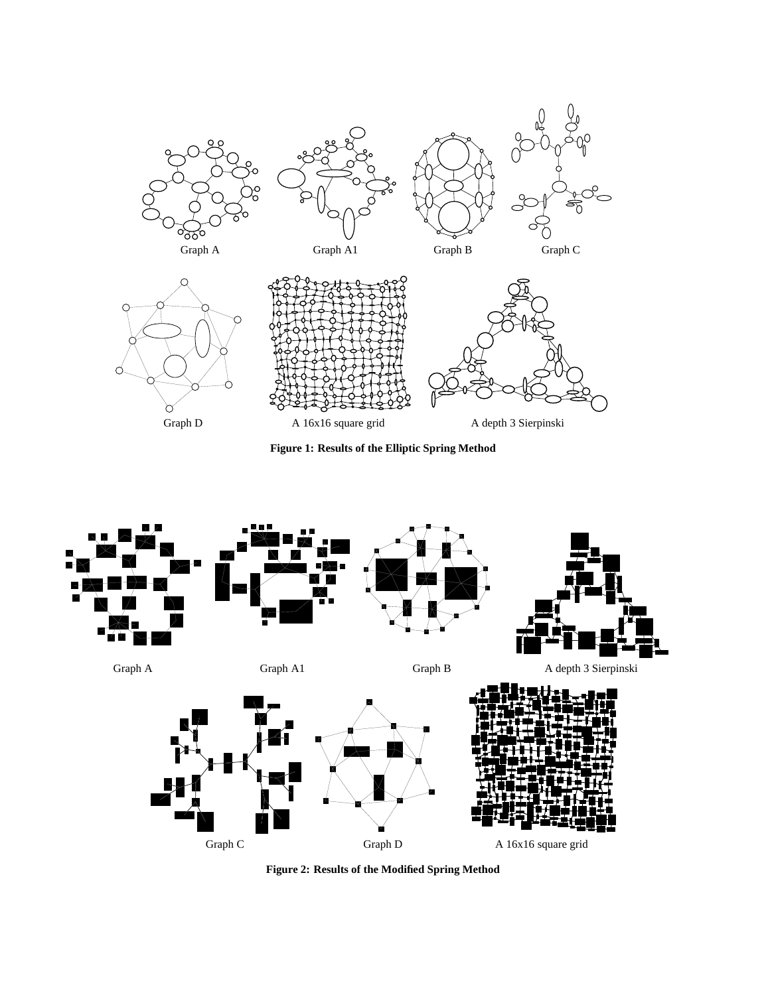

**Figure 1: Results of the Elliptic Spring Method**



**Figure 2: Results of the Modified Spring Method**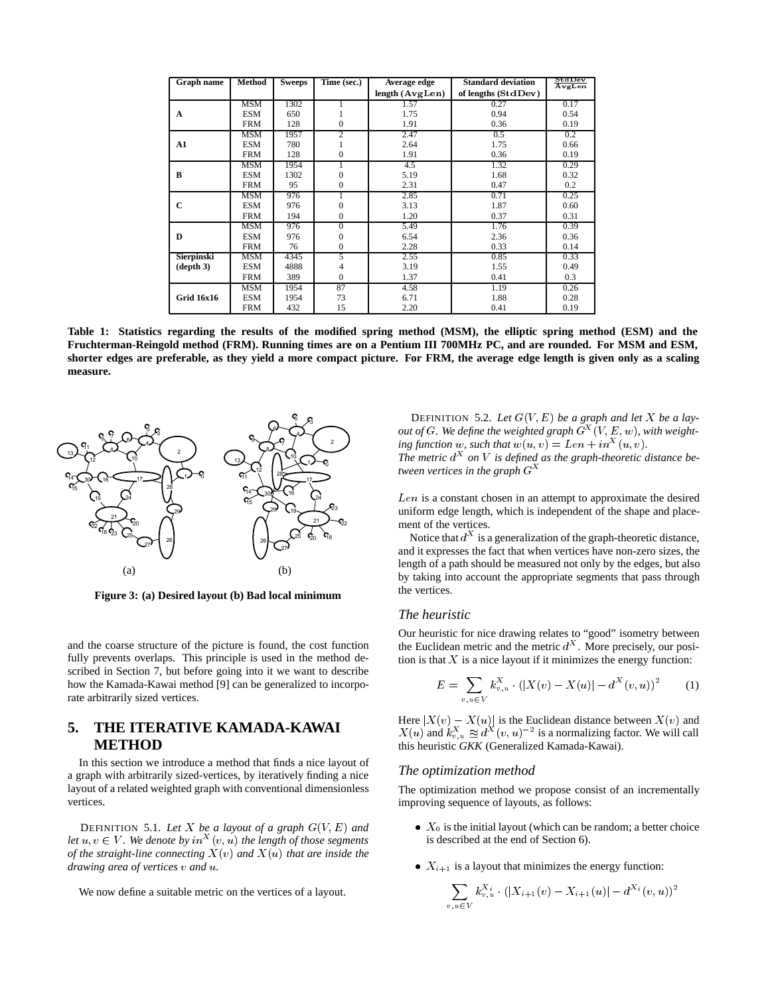| Graph name        | Method     | <b>Sweeps</b> | Time (sec.)      | Average edge           | <b>Standard deviation</b> | StdDev<br>AvgLen |
|-------------------|------------|---------------|------------------|------------------------|---------------------------|------------------|
|                   |            |               |                  | length $(A \vee gLen)$ | of lengths $(StdDev)$     |                  |
|                   | <b>MSM</b> | 1302          | 1                | 1.57                   | 0.27                      | 0.17             |
| A                 | <b>ESM</b> | 650           | 1                | 1.75                   | 0.94                      | 0.54             |
|                   | <b>FRM</b> | 128           | $\boldsymbol{0}$ | 1.91                   | 0.36                      | 0.19             |
|                   | <b>MSM</b> | 1957          | $\overline{2}$   | 2.47                   | 0.5                       | 0.2              |
| A1                | <b>ESM</b> | 780           |                  | 2.64                   | 1.75                      | 0.66             |
|                   | <b>FRM</b> | 128           | $\boldsymbol{0}$ | 1.91                   | 0.36                      | 0.19             |
|                   | MSM        | 1954          | 1                | 4.5                    | 1.32                      | 0.29             |
| B                 | <b>ESM</b> | 1302          | $\boldsymbol{0}$ | 5.19                   | 1.68                      | 0.32             |
|                   | <b>FRM</b> | 95            | $\overline{0}$   | 2.31                   | 0.47                      | 0.2              |
|                   | <b>MSM</b> | 976           | 1                | 2.85                   | 0.71                      | 0.25             |
| C                 | <b>ESM</b> | 976           | $\mathbf{0}$     | 3.13                   | 1.87                      | 0.60             |
|                   | <b>FRM</b> | 194           | $\boldsymbol{0}$ | 1.20                   | 0.37                      | 0.31             |
|                   | <b>MSM</b> | 976           | 0                | 5.49                   | 1.76                      | 0.39             |
| D                 | <b>ESM</b> | 976           | $\overline{0}$   | 6.54                   | 2.36                      | 0.36             |
|                   | <b>FRM</b> | 76            | $\mathbf{0}$     | 2.28                   | 0.33                      | 0.14             |
| Sierpinski        | <b>MSM</b> | 4345          | 5                | 2.55                   | 0.85                      | 0.33             |
| (depth 3)         | <b>ESM</b> | 4888          | 4                | 3.19                   | 1.55                      | 0.49             |
|                   | <b>FRM</b> | 389           | $\mathbf{0}$     | 1.37                   | 0.41                      | 0.3              |
|                   | <b>MSM</b> | 1954          | 87               | 4.58                   | 1.19                      | 0.26             |
| <b>Grid 16x16</b> | <b>ESM</b> | 1954          | 73               | 6.71                   | 1.88                      | 0.28             |
|                   | <b>FRM</b> | 432           | 15               | 2.20                   | 0.41                      | 0.19             |

**Table 1: Statistics regarding the results of the modified spring method (MSM), the elliptic spring method (ESM) and the Fruchterman-Reingold method (FRM). Running times are on a Pentium III 700MHz PC, and are rounded. For MSM and ESM, shorter edges are preferable, as they yield a more compact picture. For FRM, the average edge length is given only as a scaling measure.**



**Figure 3: (a) Desired layout (b) Bad local minimum**

and the coarse structure of the picture is found, the cost function fully prevents overlaps. This principle is used in the method described in Section 7, but before going into it we want to describe how the Kamada-Kawai method [9] can be generalized to incorporate arbitrarily sized vertices.

# **5. THE ITERATIVE KAMADA-KAWAI METHOD**

In this section we introduce a method that finds a nice layout of a graph with arbitrarily sized-vertices, by iteratively finding a nice layout of a related weighted graph with conventional dimensionless vertices.

DEFINITION 5.1. Let X be a layout of a graph  $G(V, E)$  and *let*  $u, v \in V$ . We denote by  $in^X(v, u)$  the length of those segments *of the straight-line connecting*  $X(v)$  *and*  $X(u)$  *that are inside the drawing area of vertices*  $v$  *and*  $u$ *.* 

We now define a suitable metric on the vertices of a layout.

DEFINITION 5.2. Let  $G(V, E)$  be a graph and let X be a lay*out of G. We define the weighted graph*  $G^X(V, E, w)$ , with weight- $\int$ *ing function w, such that*  $w(u, v) = Len + in^X(u, v)$ . The metric  $d^X$  on V is defined as the graph-theoretic distance be*tween vertices in the graph* 

 $Len$  is a constant chosen in an attempt to approximate the desired uniform edge length, which is independent of the shape and placement of the vertices.

Notice that  $d^X$  is a generalization of the graph-theoretic distance, and it expresses the fact that when vertices have non-zero sizes, the length of a path should be measured not only by the edges, but also by taking into account the appropriate segments that pass through the vertices.

#### *The heuristic*

Our heuristic for nice drawing relates to "good" isometry between the Euclidean metric and the metric  $d^{\lambda}$ . More precisely, our position is that  $X$  is a nice layout if it minimizes the energy function:

$$
E = \sum_{v, u \in V} k_{v, u}^{X} \cdot (|X(v) - X(u)| - d^{X}(v, u))^{2}
$$
 (1)

Here  $|X(v) - X(u)|$  is the Euclidean distance between  $X(v)$  and  $X(u)$  and  $k_{v,u}^X \approx d^X(v,u)^{-2}$  is a normalizing factor. We will call this heuristic *GKK* (Generalized Kamada-Kawai).

#### *The optimization method*

The optimization method we propose consist of an incrementally improving sequence of layouts, as follows:

- $\bullet$   $X_0$  is the initial layout (which can be random; a better choice is described at the end of Section 6).
- $X_{i+1}$  is a layout that minimizes the energy function:

$$
\sum_{v,u\in V} k_{v,u}^{X_i} \cdot (|X_{i+1}(v)-X_{i+1}(u)|-d^{X_i}(v,u))^2
$$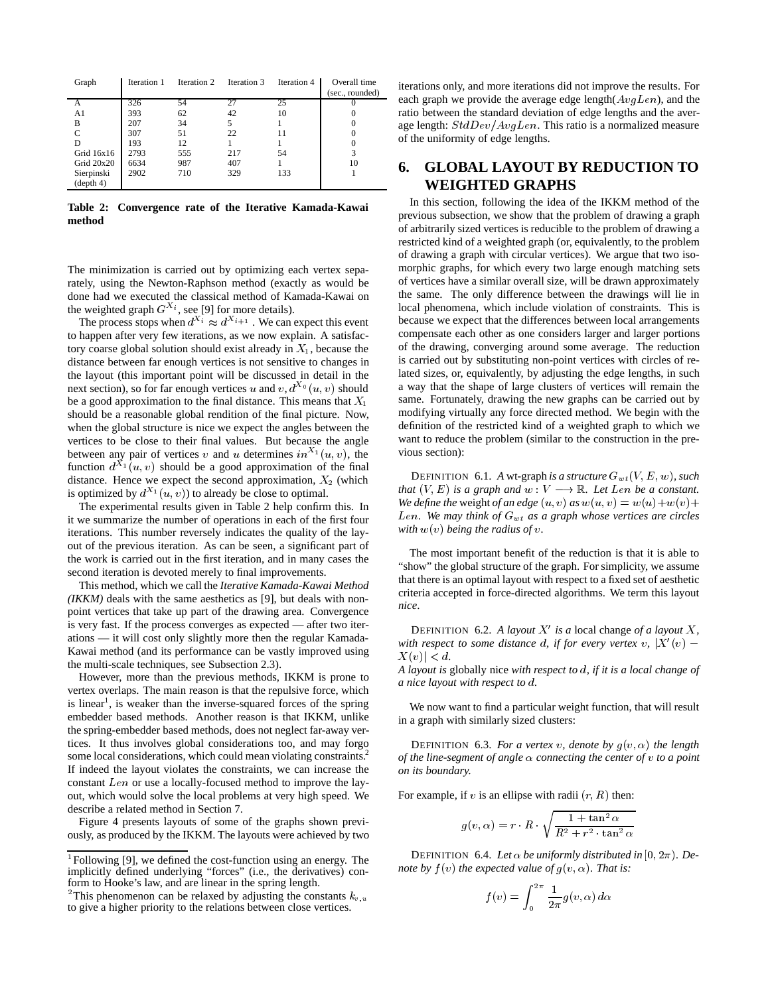| Graph          | Iteration 1 | Iteration 2 | Iteration 3 | Iteration 4 | Overall time<br>(sec., rounded) |
|----------------|-------------|-------------|-------------|-------------|---------------------------------|
| А              | 326         | 54          | 27          | 25          |                                 |
| A <sub>1</sub> | 393         | 62          | 42          | 10          |                                 |
| B              | 207         | 34          |             |             |                                 |
| $\mathcal{C}$  | 307         | 51          | 22          | 11          |                                 |
| D              | 193         | 12          |             |             |                                 |
| Grid $16x16$   | 2793        | 555         | 217         | 54          | 3                               |
| Grid $20x20$   | 6634        | 987         | 407         |             | 10                              |
| Sierpinski     | 2902        | 710         | 329         | 133         |                                 |
| (depth 4)      |             |             |             |             |                                 |

**Table 2: Convergence rate of the Iterative Kamada-Kawai method**

The minimization is carried out by optimizing each vertex separately, using the Newton-Raphson method (exactly as would be done had we executed the classical method of Kamada-Kawai on the weighted graph  $G^{X_i}$ , see [9] for more details).

The process stops when  $d^{\lambda_i} \approx d^{\lambda_{i+1}}$ . We can expect this event to happen after very few iterations, as we now explain. A satisfactory coarse global solution should exist already in  $X_1$ , because the distance between far enough vertices is not sensitive to changes in the layout (this important point will be discussed in detail in the next section), so for far enough vertices u and  $v, d^{\lambda_0}(u, v)$  should be a good approximation to the final distance. This means that  $X_1$ should be a reasonable global rendition of the final picture. Now, when the global structure is nice we expect the angles between the vertices to be close to their final values. But because the angle between any pair of vertices v and u determines  $in^{\lambda_1}(u, v)$ , the function  $d^{X_1}(u, v)$  should be a good approximation of the final distance. Hence we expect the second approximation,  $X_2$  (which is optimized by  $d^{X_1}(u, v)$  to already be close to optimal.

The experimental results given in Table 2 help confirm this. In it we summarize the number of operations in each of the first four iterations. This number reversely indicates the quality of the layout of the previous iteration. As can be seen, a significant part of the work is carried out in the first iteration, and in many cases the second iteration is devoted merely to final improvements.

This method, which we call the *Iterative Kamada-Kawai Method (IKKM)* deals with the same aesthetics as [9], but deals with nonpoint vertices that take up part of the drawing area. Convergence is very fast. If the process converges as expected — after two iterations — it will cost only slightly more then the regular Kamada-Kawai method (and its performance can be vastly improved using the multi-scale techniques, see Subsection 2.3).

However, more than the previous methods, IKKM is prone to vertex overlaps. The main reason is that the repulsive force, which is linear<sup>1</sup>, is weaker than the inverse-squared forces of the spring embedder based methods. Another reason is that IKKM, unlike the spring-embedder based methods, does not neglect far-away vertices. It thus involves global considerations too, and may forgo some local considerations, which could mean violating constraints.<sup>2</sup> If indeed the layout violates the constraints, we can increase the constant  $Len$  or use a locally-focused method to improve the layout, which would solve the local problems at very high speed. We describe a related method in Section 7.

Figure 4 presents layouts of some of the graphs shown previously, as produced by the IKKM. The layouts were achieved by two iterations only, and more iterations did not improve the results. For each graph we provide the average edge length( $AvqLen$ ), and the ratio between the standard deviation of edge lengths and the average length:  $StdDev/AvgLen$ . This ratio is a normalized measure of the uniformity of edge lengths.

# **6. GLOBAL LAYOUT BY REDUCTION TO WEIGHTED GRAPHS**

 modifying virtually any force directed method. We begin with the In this section, following the idea of the IKKM method of the previous subsection, we show that the problem of drawing a graph of arbitrarily sized vertices is reducible to the problem of drawing a restricted kind of a weighted graph (or, equivalently, to the problem of drawing a graph with circular vertices). We argue that two isomorphic graphs, for which every two large enough matching sets of vertices have a similar overall size, will be drawn approximately the same. The only difference between the drawings will lie in local phenomena, which include violation of constraints. This is because we expect that the differences between local arrangements compensate each other as one considers larger and larger portions of the drawing, converging around some average. The reduction is carried out by substituting non-point vertices with circles of related sizes, or, equivalently, by adjusting the edge lengths, in such a way that the shape of large clusters of vertices will remain the same. Fortunately, drawing the new graphs can be carried out by definition of the restricted kind of a weighted graph to which we want to reduce the problem (similar to the construction in the previous section):

DEFINITION 6.1. A wt-graph *is a structure*  $G_{wt}(V, E, w)$ , such *that*  $(V, E)$  *is a graph and*  $w: V \longrightarrow \mathbb{R}$ *. Let Len be a constant. We define the weight of an edge*  $(u, v)$  *as*  $w(u, v) = w(u) + w(v) + w(v)$ Len. We may think of  $G_{wt}$  as a graph whose vertices are circles with  $w(v)$  being the radius of  $v$ .

The most important benefit of the reduction is that it is able to "show" the global structure of the graph. For simplicity, we assume that there is an optimal layout with respect to a fixed set of aesthetic criteria accepted in force-directed algorithms. We term this layout *nice*.

DEFINITION 6.2. A layout  $X'$  is a local change of a layout  $X$ , *with respect to some distance d, if for every vertex v,*  $|X'(v)| X(v)$  | < d.

*A layout is* globally nice *with respect to , if it is a local change of a nice layout with respect to .*

We now want to find a particular weight function, that will result in a graph with similarly sized clusters:

DEFINITION 6.3. *For a vertex v*, denote by  $g(v, \alpha)$  the length *of the line-segment of angle connecting the center of to a point on its boundary.*

For example, if v is an ellipse with radii  $(r, R)$  then:

$$
g(v, \alpha) = r \cdot R \cdot \sqrt{\frac{1 + \tan^2 \alpha}{R^2 + r^2 \cdot \tan^2 \alpha}}
$$

DEFINITION 6.4. Let  $\alpha$  be uniformly distributed in  $[0, 2\pi)$ . De*note by*  $f(v)$  the expected value of  $g(v, \alpha)$ . That is:

$$
f(v) = \int_0^{2\pi} \frac{1}{2\pi} g(v, \alpha) d\alpha
$$

<sup>-</sup> Following [9], we defined the cost-function using an energy. The implicitly defined underlying "forces" (i.e., the derivatives) conform to Hooke's law, and are linear in the spring length.

<sup>&</sup>lt;sup>2</sup>This phenomenon can be relaxed by adjusting the constants  $k_v$ , to give a higher priority to the relations between close vertices.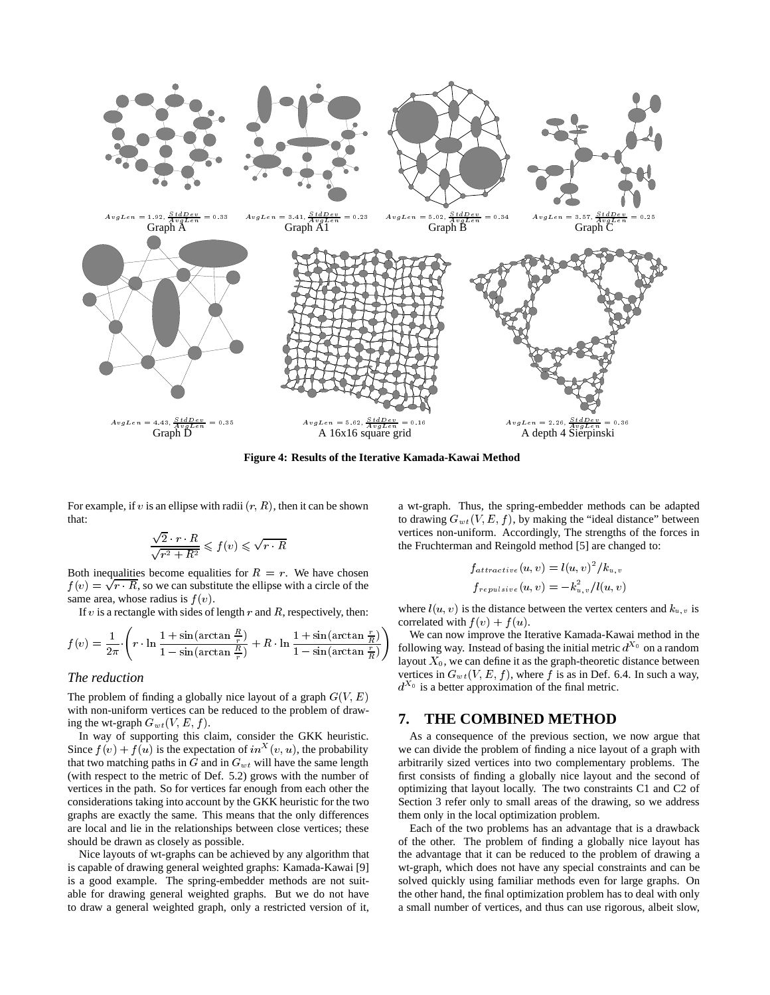

**Figure 4: Results of the Iterative Kamada-Kawai Method**

For example, if v is an ellipse with radii  $(r, R)$ , then it can be shown that:

$$
\frac{\sqrt{2} \cdot r \cdot R}{\sqrt{r^2 + R^2}} \leqslant f(v) \leqslant \sqrt{r \cdot R}
$$

Both inequalities become equalities for  $R = r$ . We have chosen  $f(v) = \sqrt{r \cdot R}$ , so we can substitute the ellipse with a circle of the same area, whose radius is  $f(v)$ .

If  $v$  is a rectangle with sides of length  $r$  and  $R$ , respectively, then:

$$
f(v) = \frac{1}{2\pi} \cdot \left( r \cdot \ln \frac{1 + \sin(\arctan \frac{R}{r})}{1 - \sin(\arctan \frac{R}{r})} + R \cdot \ln \frac{1 + \sin(\arctan \frac{r}{R})}{1 - \sin(\arctan \frac{r}{R})} \right) \begin{array}{c} \text{We} \\ \text{follow} \\ \text{law} \end{array}
$$

# *The reduction*

The problem of finding a globally nice layout of a graph  $G(V, E)$ with non-uniform vertices can be reduced to the problem of drawing the wt-graph  $G_{wt}(V, E, f)$ .

In way of supporting this claim, consider the GKK heuristic. Since  $f(v) + f(u)$  is the expectation of  $in^{\mathcal{X}}(v, u)$ , the probability that two matching paths in  $G$  and in  $G_{wt}$  will have the same length (with respect to the metric of Def. 5.2) grows with the number of vertices in the path. So for vertices far enough from each other the considerations taking into account by the GKK heuristic for the two graphs are exactly the same. This means that the only differences are local and lie in the relationships between close vertices; these should be drawn as closely as possible.

Nice layouts of wt-graphs can be achieved by any algorithm that is capable of drawing general weighted graphs: Kamada-Kawai [9] is a good example. The spring-embedder methods are not suitable for drawing general weighted graphs. But we do not have to draw a general weighted graph, only a restricted version of it, a wt-graph. Thus, the spring-embedder methods can be adapted to drawing  $G_{wt}(V, E, f)$ , by making the "ideal distance" between vertices non-uniform. Accordingly, The strengths of the forces in the Fruchterman and Reingold method [5] are changed to:

$$
f_{attractive}(u, v) = l(u, v)^{2}/k_{u, v}
$$
  

$$
f_{repulsive}(u, v) = -k_{u, v}^{2}/l(u, v)
$$

where  $l(u, v)$  is the distance between the vertex centers and  $k_{u, v}$  is correlated with  $f(v) + f(u)$ .

 $\frac{1}{1-\sin(\arctan{\frac{r}{R}})}$  following way. Instead of basing the initial metric  $d^{\lambda_0}$  on a random We can now improve the Iterative Kamada-Kawai method in the layout  $X_0$ , we can define it as the graph-theoretic distance between vertices in  $G_{wt}(V, E, f)$ , where f is as in Def. 6.4. In such a way,  $d^{x_0}$  is a better approximation of the final metric.

## **7. THE COMBINED METHOD**

As a consequence of the previous section, we now argue that we can divide the problem of finding a nice layout of a graph with arbitrarily sized vertices into two complementary problems. The first consists of finding a globally nice layout and the second of optimizing that layout locally. The two constraints C1 and C2 of Section 3 refer only to small areas of the drawing, so we address them only in the local optimization problem.

Each of the two problems has an advantage that is a drawback of the other. The problem of finding a globally nice layout has the advantage that it can be reduced to the problem of drawing a wt-graph, which does not have any special constraints and can be solved quickly using familiar methods even for large graphs. On the other hand, the final optimization problem has to deal with only a small number of vertices, and thus can use rigorous, albeit slow,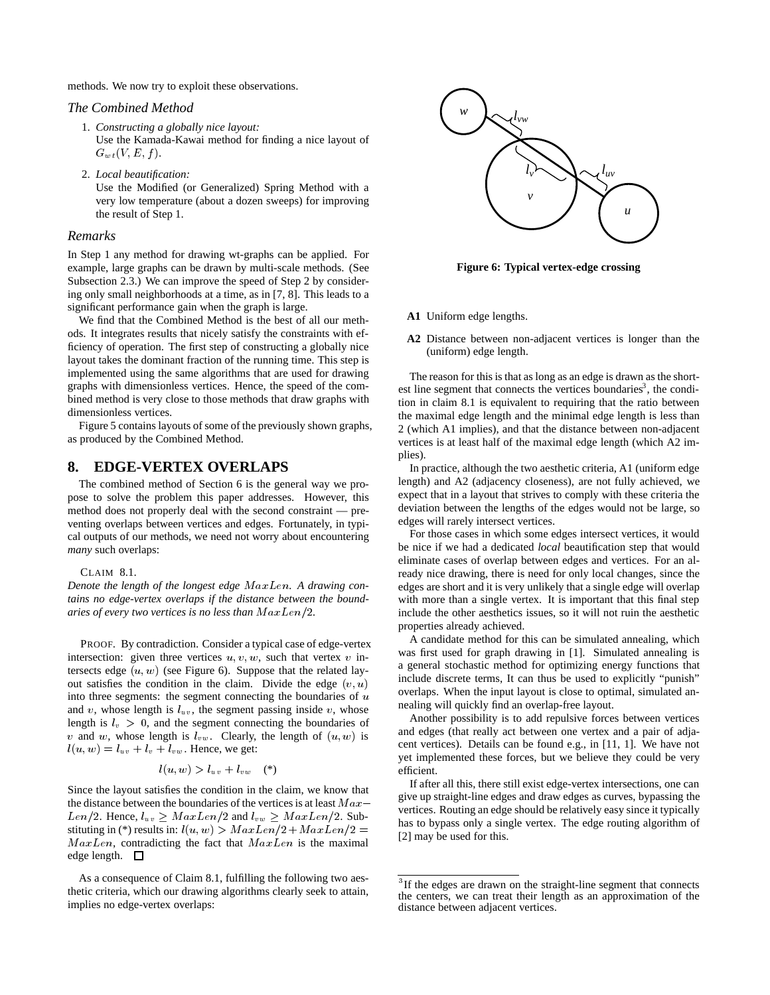methods. We now try to exploit these observations.

#### *The Combined Method*

- 1. *Constructing a globally nice layout:* Use the Kamada-Kawai method for finding a nice layout of  $G_{wt}(V,E,f).$
- 2. *Local beautification:*

Use the Modified (or Generalized) Spring Method with a very low temperature (about a dozen sweeps) for improving the result of Step 1.

#### *Remarks*

In Step 1 any method for drawing wt-graphs can be applied. For example, large graphs can be drawn by multi-scale methods. (See Subsection 2.3.) We can improve the speed of Step 2 by considering only small neighborhoods at a time, as in [7, 8]. This leads to a significant performance gain when the graph is large.

We find that the Combined Method is the best of all our methods. It integrates results that nicely satisfy the constraints with efficiency of operation. The first step of constructing a globally nice layout takes the dominant fraction of the running time. This step is implemented using the same algorithms that are used for drawing graphs with dimensionless vertices. Hence, the speed of the combined method is very close to those methods that draw graphs with dimensionless vertices.

Figure 5 contains layouts of some of the previously shown graphs, as produced by the Combined Method.

# **8. EDGE-VERTEX OVERLAPS**

The combined method of Section 6 is the general way we propose to solve the problem this paper addresses. However, this method does not properly deal with the second constraint — preventing overlaps between vertices and edges. Fortunately, in typical outputs of our methods, we need not worry about encountering *many* such overlaps:

#### CLAIM 8.1.

Denote the length of the longest edge  $MaxLen$ . A drawing con*tains no edge-vertex overlaps if the distance between the boundaries of every two vertices is no less than*  $MaxLen/2$ .

PROOF. By contradiction. Consider a typical case of edge-vertex intersection: given three vertices  $u, v, w$ , such that vertex  $v$  intersects edge  $(u, w)$  (see Figure 6). Suppose that the related layout satisfies the condition in the claim. Divide the edge  $(v, u)$ into three segments: the segment connecting the boundaries of  $u$ and v, whose length is  $l_{uv}$ , the segment passing inside v, whose length is  $l_v > 0$ , and the segment connecting the boundaries of v and w, whose length is  $l_{vw}$ . Clearly, the length of  $(u, w)$  is  $l(u, w) = l_{uv} + l_v + l_{vw}$ . Hence, we get:

$$
l(u, w) > l_{uv} + l_{vw} \quad (*)
$$

Since the layout satisfies the condition in the claim, we know that the distance between the boundaries of the vertices is at least  $Max$  – Len/2. Hence,  $l_{uv} \geq MaxLen/2$  and  $l_{vw} \geq MaxLen/2$ . Substituting in (\*) results in:  $l(u, w) > MaxLen/2 + MaxLen/2 =$  $MaxLen$ , contradicting the fact that  $MaxLen$  is the maximal edge length.  $\square$ 

As a consequence of Claim 8.1, fulfilling the following two aesthetic criteria, which our drawing algorithms clearly seek to attain, implies no edge-vertex overlaps:



**Figure 6: Typical vertex-edge crossing**

- **A1** Uniform edge lengths.
- **A2** Distance between non-adjacent vertices is longer than the (uniform) edge length.

The reason for this is that as long as an edge is drawn as the shortest line segment that connects the vertices boundaries<sup>3</sup>, the condition in claim 8.1 is equivalent to requiring that the ratio between the maximal edge length and the minimal edge length is less than 2 (which A1 implies), and that the distance between non-adjacent vertices is at least half of the maximal edge length (which A2 implies).

In practice, although the two aesthetic criteria, A1 (uniform edge length) and A2 (adjacency closeness), are not fully achieved, we expect that in a layout that strives to comply with these criteria the deviation between the lengths of the edges would not be large, so edges will rarely intersect vertices.

For those cases in which some edges intersect vertices, it would be nice if we had a dedicated *local* beautification step that would eliminate cases of overlap between edges and vertices. For an already nice drawing, there is need for only local changes, since the edges are short and it is very unlikely that a single edge will overlap with more than a single vertex. It is important that this final step include the other aesthetics issues, so it will not ruin the aesthetic properties already achieved.

 overlaps. When the input layout is close to optimal, simulated an-A candidate method for this can be simulated annealing, which was first used for graph drawing in [1]. Simulated annealing is a general stochastic method for optimizing energy functions that include discrete terms, It can thus be used to explicitly "punish" nealing will quickly find an overlap-free layout.

Another possibility is to add repulsive forces between vertices and edges (that really act between one vertex and a pair of adjacent vertices). Details can be found e.g., in [11, 1]. We have not yet implemented these forces, but we believe they could be very efficient.

If after all this, there still exist edge-vertex intersections, one can give up straight-line edges and draw edges as curves, bypassing the vertices. Routing an edge should be relatively easy since it typically has to bypass only a single vertex. The edge routing algorithm of [2] may be used for this.

<sup>&</sup>lt;sup>3</sup>If the edges are drawn on the straight-line segment that connects the centers, we can treat their length as an approximation of the distance between adjacent vertices.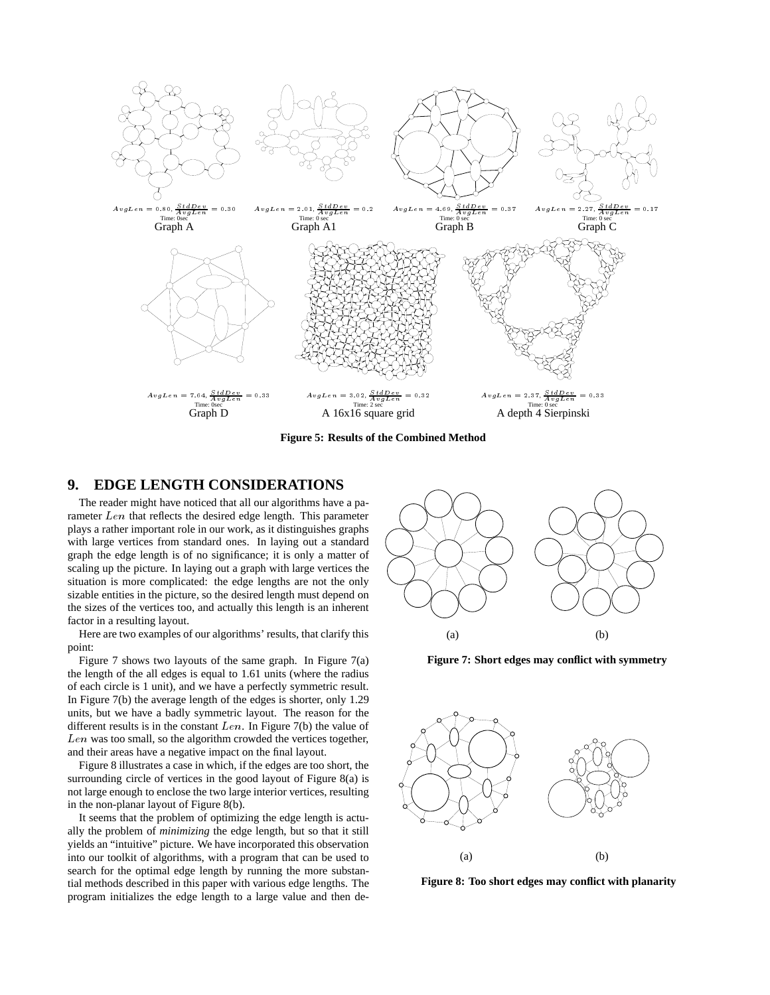

**Figure 5: Results of the Combined Method**

# **9. EDGE LENGTH CONSIDERATIONS**

The reader might have noticed that all our algorithms have a parameter  $Len$  that reflects the desired edge length. This parameter plays a rather important role in our work, as it distinguishes graphs with large vertices from standard ones. In laying out a standard graph the edge length is of no significance; it is only a matter of scaling up the picture. In laying out a graph with large vertices the situation is more complicated: the edge lengths are not the only sizable entities in the picture, so the desired length must depend on the sizes of the vertices too, and actually this length is an inherent factor in a resulting layout.

Here are two examples of our algorithms' results, that clarify this point:

Figure 7 shows two layouts of the same graph. In Figure 7(a) the length of the all edges is equal to 1.61 units (where the radius of each circle is 1 unit), and we have a perfectly symmetric result. In Figure 7(b) the average length of the edges is shorter, only 1.29 units, but we have a badly symmetric layout. The reason for the different results is in the constant  $Len$ . In Figure 7(b) the value of  $Len$  was too small, so the algorithm crowded the vertices together, and their areas have a negative impact on the final layout.

Figure 8 illustrates a case in which, if the edges are too short, the surrounding circle of vertices in the good layout of Figure 8(a) is not large enough to enclose the two large interior vertices, resulting in the non-planar layout of Figure 8(b).

It seems that the problem of optimizing the edge length is actually the problem of *minimizing* the edge length, but so that it still yields an "intuitive" picture. We have incorporated this observation into our toolkit of algorithms, with a program that can be used to search for the optimal edge length by running the more substantial methods described in this paper with various edge lengths. The program initializes the edge length to a large value and then de-



**Figure 7: Short edges may conflict with symmetry**



**Figure 8: Too short edges may conflict with planarity**